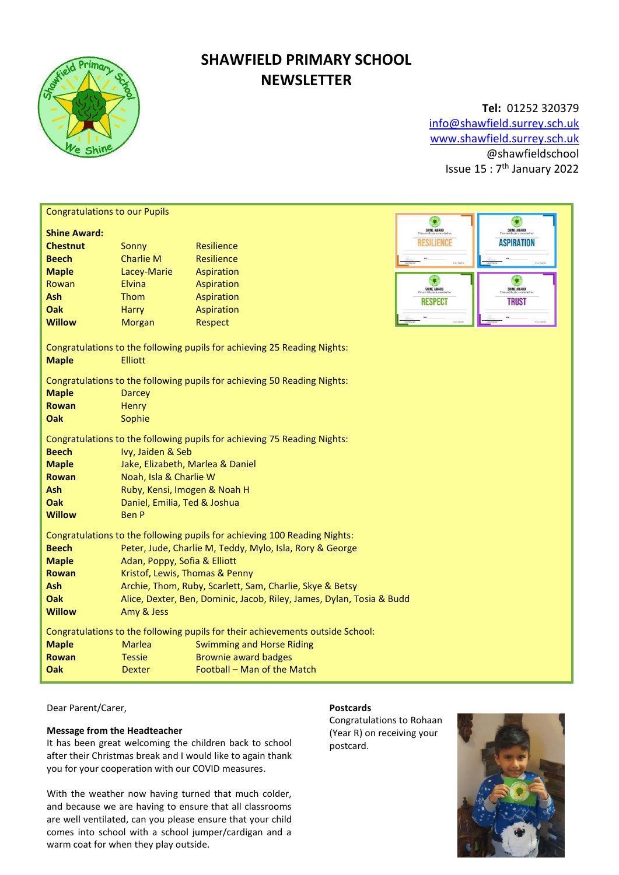

# **SHAWFIELD PRIMARY SCHOOL NEWSLETTER**

**Tel:** 01252 320379 [info@shawfield.surrey.sch.uk](mailto:info@shawfield.surrey.sch.uk) [www.shawfield.surrey.sch.uk](http://www.shawfield.surrey.sch.uk/) @shawfieldschool Issue 15 : 7<sup>th</sup> January 2022

| <b>Congratulations to our Pupils</b>                                                                       |                                                                       |                                                                           |                  |                   |  |  |  |
|------------------------------------------------------------------------------------------------------------|-----------------------------------------------------------------------|---------------------------------------------------------------------------|------------------|-------------------|--|--|--|
|                                                                                                            |                                                                       |                                                                           | G<br>SHINE AWARD | SHINE AWARD       |  |  |  |
| <b>Shine Award:</b>                                                                                        |                                                                       |                                                                           | RESILIENCE       | <b>ASPIRATION</b> |  |  |  |
| <b>Chestnut</b>                                                                                            | Sonny                                                                 | Resilience                                                                |                  |                   |  |  |  |
| <b>Beech</b>                                                                                               | <b>Charlie M</b>                                                      | Resilience                                                                |                  |                   |  |  |  |
| <b>Maple</b>                                                                                               | Lacey-Marie                                                           | Aspiration                                                                | C.               |                   |  |  |  |
| Rowan                                                                                                      | Elvina                                                                | Aspiration                                                                | SHINE AWARD      | SHINE AWARD       |  |  |  |
| Ash                                                                                                        | Thom                                                                  | Aspiration                                                                | <b>RESPECT</b>   | <b>TRUST</b>      |  |  |  |
| Oak<br><b>Willow</b>                                                                                       | <b>Harry</b>                                                          | Aspiration                                                                |                  |                   |  |  |  |
|                                                                                                            | <b>Morgan</b>                                                         | Respect                                                                   |                  |                   |  |  |  |
| Congratulations to the following pupils for achieving 25 Reading Nights:<br><b>Elliott</b><br><b>Maple</b> |                                                                       |                                                                           |                  |                   |  |  |  |
| Congratulations to the following pupils for achieving 50 Reading Nights:                                   |                                                                       |                                                                           |                  |                   |  |  |  |
| <b>Maple</b>                                                                                               | <b>Darcey</b>                                                         |                                                                           |                  |                   |  |  |  |
| <b>Rowan</b>                                                                                               | <b>Henry</b>                                                          |                                                                           |                  |                   |  |  |  |
| Oak                                                                                                        | Sophie                                                                |                                                                           |                  |                   |  |  |  |
|                                                                                                            |                                                                       | Congratulations to the following pupils for achieving 75 Reading Nights:  |                  |                   |  |  |  |
| <b>Beech</b>                                                                                               | Ivy, Jaiden & Seb                                                     |                                                                           |                  |                   |  |  |  |
| <b>Maple</b>                                                                                               | Jake, Elizabeth, Marlea & Daniel                                      |                                                                           |                  |                   |  |  |  |
| <b>Rowan</b>                                                                                               | Noah, Isla & Charlie W                                                |                                                                           |                  |                   |  |  |  |
| <b>Ash</b>                                                                                                 | Ruby, Kensi, Imogen & Noah H                                          |                                                                           |                  |                   |  |  |  |
| Oak                                                                                                        | Daniel, Emilia, Ted & Joshua                                          |                                                                           |                  |                   |  |  |  |
| <b>Willow</b>                                                                                              | <b>Ben P</b>                                                          |                                                                           |                  |                   |  |  |  |
|                                                                                                            |                                                                       | Congratulations to the following pupils for achieving 100 Reading Nights: |                  |                   |  |  |  |
| <b>Beech</b>                                                                                               | Peter, Jude, Charlie M, Teddy, Mylo, Isla, Rory & George              |                                                                           |                  |                   |  |  |  |
| <b>Maple</b>                                                                                               | Adan, Poppy, Sofia & Elliott                                          |                                                                           |                  |                   |  |  |  |
| <b>Rowan</b>                                                                                               | Kristof, Lewis, Thomas & Penny                                        |                                                                           |                  |                   |  |  |  |
| Ash                                                                                                        | Archie, Thom, Ruby, Scarlett, Sam, Charlie, Skye & Betsy              |                                                                           |                  |                   |  |  |  |
| <b>Oak</b>                                                                                                 | Alice, Dexter, Ben, Dominic, Jacob, Riley, James, Dylan, Tosia & Budd |                                                                           |                  |                   |  |  |  |
| <b>Willow</b>                                                                                              | Amy & Jess                                                            |                                                                           |                  |                   |  |  |  |
| Congratulations to the following pupils for their achievements outside School:                             |                                                                       |                                                                           |                  |                   |  |  |  |
| <b>Maple</b>                                                                                               | <b>Marlea</b>                                                         | <b>Swimming and Horse Riding</b>                                          |                  |                   |  |  |  |
| <b>Rowan</b>                                                                                               | <b>Tessie</b>                                                         | <b>Brownie award badges</b>                                               |                  |                   |  |  |  |
| Oak                                                                                                        | <b>Dexter</b>                                                         | Football - Man of the Match                                               |                  |                   |  |  |  |
|                                                                                                            |                                                                       |                                                                           |                  |                   |  |  |  |

## Dear Parent/Carer,

## **Message from the Headteacher**

It has been great welcoming the children back to school after their Christmas break and I would like to again thank you for your cooperation with our COVID measures.

With the weather now having turned that much colder, and because we are having to ensure that all classrooms are well ventilated, can you please ensure that your child comes into school with a school jumper/cardigan and a warm coat for when they play outside.

## **Postcards**

Congratulations to Rohaan (Year R) on receiving your postcard.

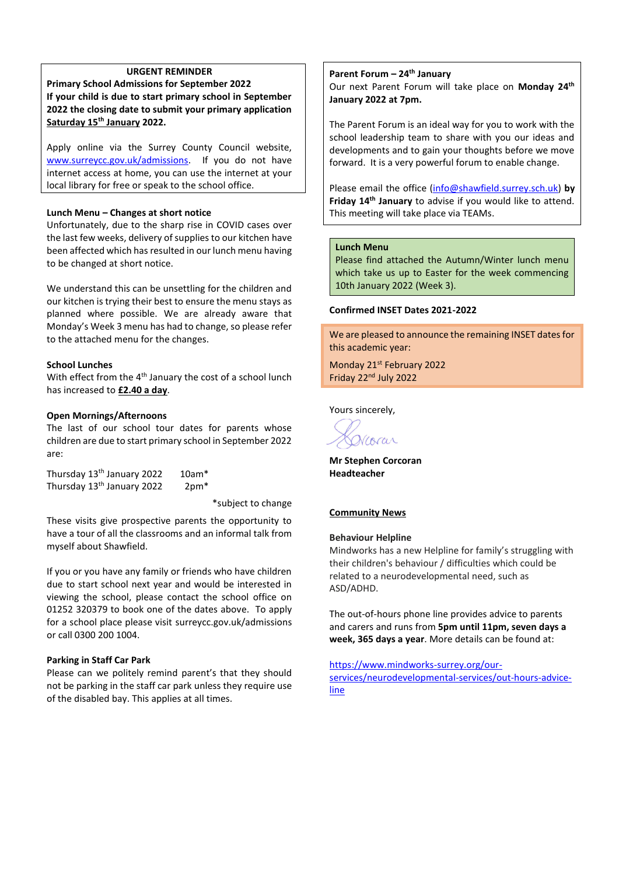## **URGENT REMINDER**

**Primary School Admissions for September 2022 If your child is due to start primary school in September 2022 the closing date to submit your primary application Saturday 15th January 2022.**

Apply online via the Surrey County Council website, [www.surreycc.gov.uk/admissions.](http://www.surreycc.gov.uk/admissions) If you do not have internet access at home, you can use the internet at your local library for free or speak to the school office.

## **Lunch Menu – Changes at short notice**

Unfortunately, due to the sharp rise in COVID cases over the last few weeks, delivery of supplies to our kitchen have been affected which has resulted in our lunch menu having to be changed at short notice.

We understand this can be unsettling for the children and our kitchen is trying their best to ensure the menu stays as planned where possible. We are already aware that Monday's Week 3 menu has had to change, so please refer to the attached menu for the changes.

## **School Lunches**

With effect from the 4<sup>th</sup> January the cost of a school lunch has increased to **£2.40 a day**.

## **Open Mornings/Afternoons**

The last of our school tour dates for parents whose children are due to start primary school in September 2022 are:

| Thursday 13 <sup>th</sup> January 2022 | $10am*$          |  |
|----------------------------------------|------------------|--|
| Thursday 13 <sup>th</sup> January 2022 | 2pm <sup>*</sup> |  |

\*subject to change

These visits give prospective parents the opportunity to have a tour of all the classrooms and an informal talk from myself about Shawfield.

If you or you have any family or friends who have children due to start school next year and would be interested in viewing the school, please contact the school office on 01252 320379 to book one of the dates above. To apply for a school place please visit surreycc.gov.uk/admissions or call 0300 200 1004.

#### **Parking in Staff Car Park**

Please can we politely remind parent's that they should not be parking in the staff car park unless they require use of the disabled bay. This applies at all times.

## **Parent Forum – 24th January**

Our next Parent Forum will take place on **Monday 24th January 2022 at 7pm.**

The Parent Forum is an ideal way for you to work with the school leadership team to share with you our ideas and developments and to gain your thoughts before we move forward. It is a very powerful forum to enable change.

Please email the office [\(info@shawfield.surrey.sch.uk\)](mailto:info@shawfield.surrey.sch.uk) **by Friday 14th January** to advise if you would like to attend. This meeting will take place via TEAMs.

### **Lunch Menu**

Please find attached the Autumn/Winter lunch menu which take us up to Easter for the week commencing 10th January 2022 (Week 3).

## **Confirmed INSET Dates 2021-2022**

We are pleased to announce the remaining INSET dates for this academic year:

Monday 21<sup>st</sup> February 2022 Friday 22<sup>nd</sup> July 2022

Yours sincerely,

Vcorar

**Mr Stephen Corcoran Headteacher**

#### **Community News**

## **Behaviour Helpline**

Mindworks has a new Helpline for family's struggling with their children's behaviour / difficulties which could be related to a neurodevelopmental need, such as ASD/ADHD.

The out-of-hours phone line provides advice to parents and carers and runs from **5pm until 11pm, seven days a week, 365 days a year**. More details can be found at:

[https://www.mindworks-surrey.org/our](https://www.mindworks-surrey.org/our-services/neurodevelopmental-services/out-hours-advice-line)[services/neurodevelopmental-services/out-hours-advice](https://www.mindworks-surrey.org/our-services/neurodevelopmental-services/out-hours-advice-line)[line](https://www.mindworks-surrey.org/our-services/neurodevelopmental-services/out-hours-advice-line)